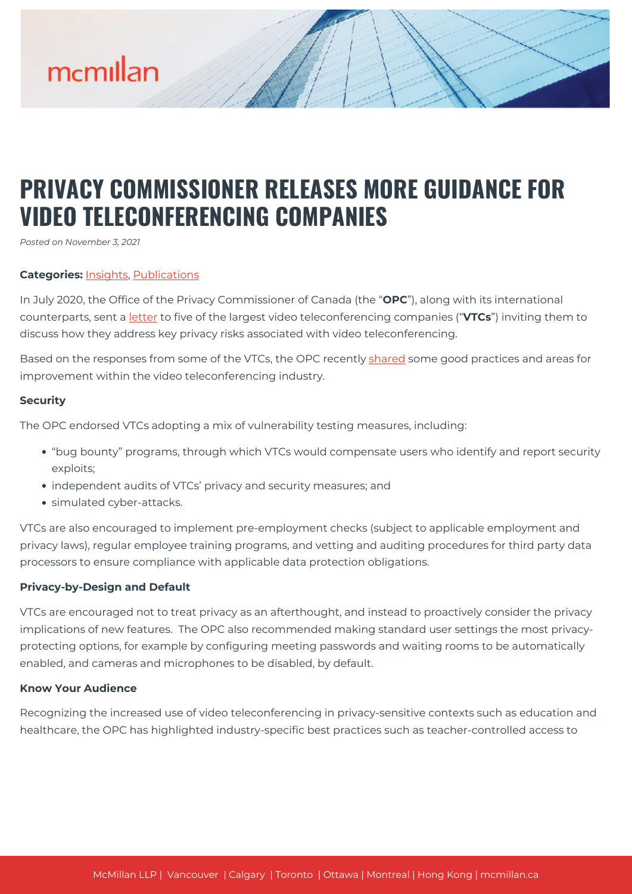

# **PRIVACY COMMISSIONER RELEASES MORE GUIDANCE FOR VIDEO TELECONFERENCING COMPANIES**

*Posted on November 3, 2021*

### **Categories:** [Insights,](https://mcmillan.ca/insights/) [Publications](https://mcmillan.ca/insights/publications/)

In July 2020, the Office of the Privacy Commissioner of Canada (the "**OPC**"), along with its international counterparts, sent a [letter](https://mcmillan.ca/insights/global-privacy-authorities-remind-video-teleconferencing-companies-of-privacy-expectations/) to five of the largest video teleconferencing companies ("**VTCs**") inviting them to discuss how they address key privacy risks associated with video teleconferencing.

Based on the responses from some of the VTCs, the OPC recently [shared](https://www.priv.gc.ca/en/opc-news/news-and-announcements/2021/vtc_211027/) some good practices and areas for improvement within the video teleconferencing industry.

#### **Security**

The OPC endorsed VTCs adopting a mix of vulnerability testing measures, including:

- "bug bounty" programs, through which VTCs would compensate users who identify and report security exploits;
- independent audits of VTCs' privacy and security measures; and
- simulated cyber-attacks.

VTCs are also encouraged to implement pre-employment checks (subject to applicable employment and privacy laws), regular employee training programs, and vetting and auditing procedures for third party data processors to ensure compliance with applicable data protection obligations.

# **Privacy-by-Design and Default**

VTCs are encouraged not to treat privacy as an afterthought, and instead to proactively consider the privacy implications of new features. The OPC also recommended making standard user settings the most privacyprotecting options, for example by configuring meeting passwords and waiting rooms to be automatically enabled, and cameras and microphones to be disabled, by default.

#### **Know Your Audience**

Recognizing the increased use of video teleconferencing in privacy-sensitive contexts such as education and healthcare, the OPC has highlighted industry-specific best practices such as teacher-controlled access to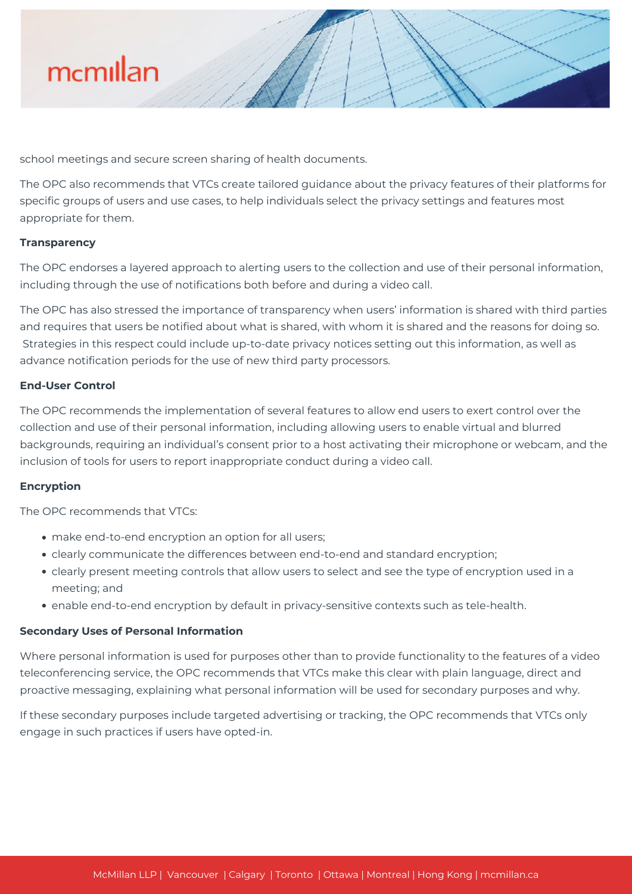

school meetings and secure screen sharing of health documents.

The OPC also recommends that VTCs create tailored guidance about the privacy features of their platforms for specific groups of users and use cases, to help individuals select the privacy settings and features most appropriate for them.

#### **Transparency**

The OPC endorses a layered approach to alerting users to the collection and use of their personal information, including through the use of notifications both before and during a video call.

The OPC has also stressed the importance of transparency when users' information is shared with third parties and requires that users be notified about what is shared, with whom it is shared and the reasons for doing so. Strategies in this respect could include up-to-date privacy notices setting out this information, as well as advance notification periods for the use of new third party processors.

# **End-User Control**

The OPC recommends the implementation of several features to allow end users to exert control over the collection and use of their personal information, including allowing users to enable virtual and blurred backgrounds, requiring an individual's consent prior to a host activating their microphone or webcam, and the inclusion of tools for users to report inappropriate conduct during a video call.

#### **Encryption**

The OPC recommends that VTCs:

- make end-to-end encryption an option for all users;
- clearly communicate the differences between end-to-end and standard encryption;
- clearly present meeting controls that allow users to select and see the type of encryption used in a meeting; and
- enable end-to-end encryption by default in privacy-sensitive contexts such as tele-health.

# **Secondary Uses of Personal Information**

Where personal information is used for purposes other than to provide functionality to the features of a video teleconferencing service, the OPC recommends that VTCs make this clear with plain language, direct and proactive messaging, explaining what personal information will be used for secondary purposes and why.

If these secondary purposes include targeted advertising or tracking, the OPC recommends that VTCs only engage in such practices if users have opted-in.